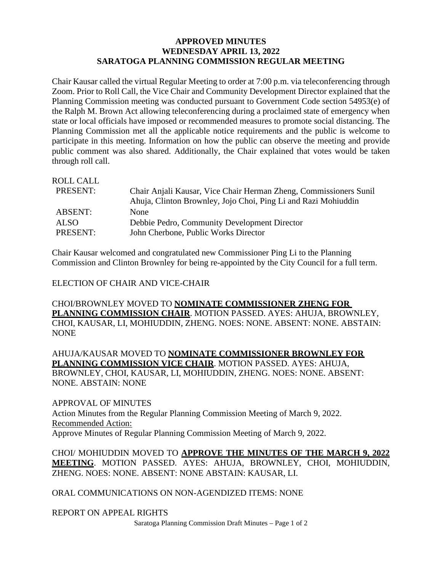## **APPROVED MINUTES WEDNESDAY APRIL 13, 2022 SARATOGA PLANNING COMMISSION REGULAR MEETING**

Chair Kausar called the virtual Regular Meeting to order at 7:00 p.m. via teleconferencing through Zoom. Prior to Roll Call, the Vice Chair and Community Development Director explained that the Planning Commission meeting was conducted pursuant to Government Code section 54953(e) of the Ralph M. Brown Act allowing teleconferencing during a proclaimed state of emergency when state or local officials have imposed or recommended measures to promote social distancing. The Planning Commission met all the applicable notice requirements and the public is welcome to participate in this meeting. Information on how the public can observe the meeting and provide public comment was also shared. Additionally, the Chair explained that votes would be taken through roll call.

| Chair Anjali Kausar, Vice Chair Herman Zheng, Commissioners Sunil |
|-------------------------------------------------------------------|
| Ahuja, Clinton Brownley, Jojo Choi, Ping Li and Razi Mohiuddin    |
| None                                                              |
| Debbie Pedro, Community Development Director                      |
| John Cherbone, Public Works Director                              |
|                                                                   |

Chair Kausar welcomed and congratulated new Commissioner Ping Li to the Planning Commission and Clinton Brownley for being re-appointed by the City Council for a full term.

ELECTION OF CHAIR AND VICE-CHAIR

CHOI/BROWNLEY MOVED TO **NOMINATE COMMISSIONER ZHENG FOR PLANNING COMMISSION CHAIR**. MOTION PASSED. AYES: AHUJA, BROWNLEY, CHOI, KAUSAR, LI, MOHIUDDIN, ZHENG. NOES: NONE. ABSENT: NONE. ABSTAIN: NONE

AHUJA/KAUSAR MOVED TO **NOMINATE COMMISSIONER BROWNLEY FOR PLANNING COMMISSION VICE CHAIR**. MOTION PASSED. AYES: AHUJA, BROWNLEY, CHOI, KAUSAR, LI, MOHIUDDIN, ZHENG. NOES: NONE. ABSENT: NONE. ABSTAIN: NONE

APPROVAL OF MINUTES Action Minutes from the Regular Planning Commission Meeting of March 9, 2022. Recommended Action: Approve Minutes of Regular Planning Commission Meeting of March 9, 2022.

CHOI/ MOHIUDDIN MOVED TO **APPROVE THE MINUTES OF THE MARCH 9, 2022 MEETING**. MOTION PASSED. AYES: AHUJA, BROWNLEY, CHOI, MOHIUDDIN, ZHENG. NOES: NONE. ABSENT: NONE ABSTAIN: KAUSAR, LI.

ORAL COMMUNICATIONS ON NON-AGENDIZED ITEMS: NONE

REPORT ON APPEAL RIGHTS

Saratoga Planning Commission Draft Minutes – Page 1 of 2